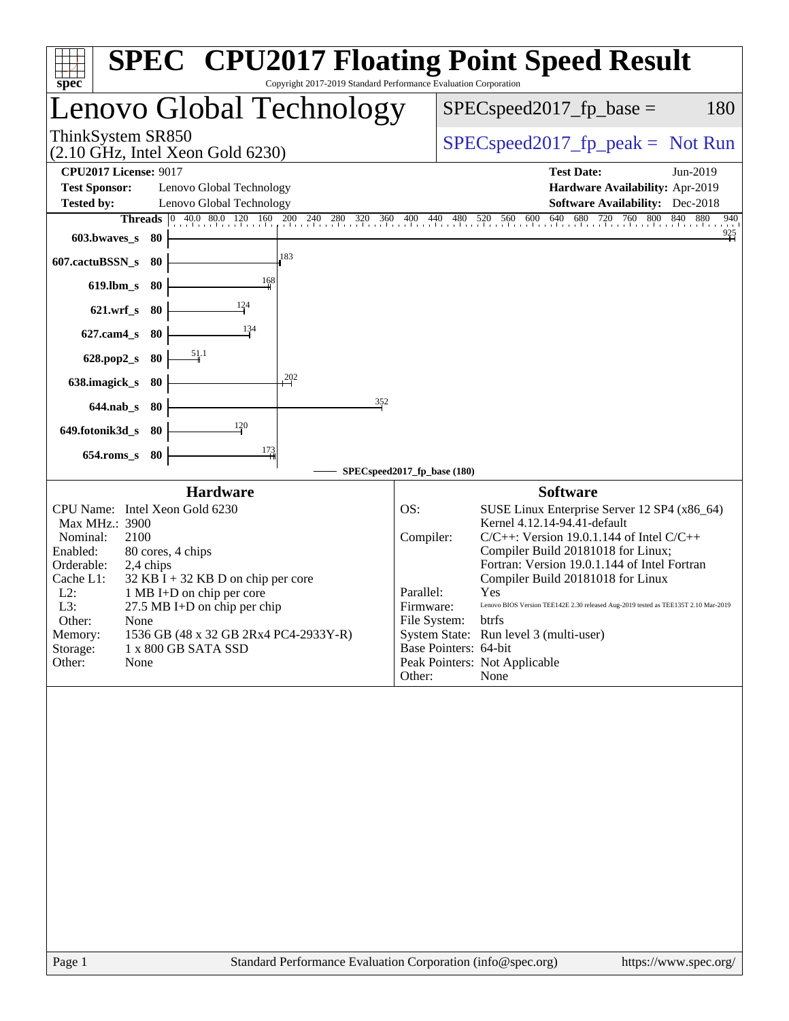| spec <sup>®</sup>                                                                                                                                                                                                                                                                                                                                                                                                 | <b>SPEC<sup>®</sup> CPU2017 Floating Point Speed Result</b><br>Copyright 2017-2019 Standard Performance Evaluation Corporation                                                                                                                                                                                                                                                                                                                                                                                                                                     |
|-------------------------------------------------------------------------------------------------------------------------------------------------------------------------------------------------------------------------------------------------------------------------------------------------------------------------------------------------------------------------------------------------------------------|--------------------------------------------------------------------------------------------------------------------------------------------------------------------------------------------------------------------------------------------------------------------------------------------------------------------------------------------------------------------------------------------------------------------------------------------------------------------------------------------------------------------------------------------------------------------|
| Lenovo Global Technology                                                                                                                                                                                                                                                                                                                                                                                          | $SPEC speed2017_fp\_base =$<br>180                                                                                                                                                                                                                                                                                                                                                                                                                                                                                                                                 |
| ThinkSystem SR850<br>$(2.10 \text{ GHz}, \text{Intel Xeon Gold } 6230)$                                                                                                                                                                                                                                                                                                                                           | $SPEC speed2017rfp peak = Not Run$                                                                                                                                                                                                                                                                                                                                                                                                                                                                                                                                 |
| <b>CPU2017 License: 9017</b><br><b>Test Sponsor:</b><br>Lenovo Global Technology<br><b>Tested by:</b><br>Lenovo Global Technology<br><b>Threads</b> $\begin{bmatrix} 0 & 40.0 & 80.0 & 120 & 160 \end{bmatrix}$<br>603.bwaves_s<br>- 80                                                                                                                                                                           | <b>Test Date:</b><br>Jun-2019<br>Hardware Availability: Apr-2019<br>Software Availability: Dec-2018<br>200 240 280 320 360 400 440 480 520 560 600 640<br>680 720 760 800 840 880<br>940<br>$\frac{925}{1}$                                                                                                                                                                                                                                                                                                                                                        |
| 183<br>607.cactuBSSN_s<br>80<br>$\frac{168}{ }$<br>619.lbm_s<br>80                                                                                                                                                                                                                                                                                                                                                |                                                                                                                                                                                                                                                                                                                                                                                                                                                                                                                                                                    |
| $\frac{124}{ }$<br>$621.wrf$ <sub>S</sub><br>- 80<br>$\frac{134}{ }$<br>$627$ .cam $4_s$<br>-80                                                                                                                                                                                                                                                                                                                   |                                                                                                                                                                                                                                                                                                                                                                                                                                                                                                                                                                    |
| $\frac{51.1}{5}$<br>$628.pop2_s$<br>-80<br>202<br>638.imagick_s<br>-80                                                                                                                                                                                                                                                                                                                                            |                                                                                                                                                                                                                                                                                                                                                                                                                                                                                                                                                                    |
| $644$ .nab_s<br>-80<br>120<br>649.fotonik3d_s<br>- 80                                                                                                                                                                                                                                                                                                                                                             | 352                                                                                                                                                                                                                                                                                                                                                                                                                                                                                                                                                                |
| $\frac{173}{4}$<br>$654$ .roms_s<br>80                                                                                                                                                                                                                                                                                                                                                                            | SPECspeed2017_fp_base (180)                                                                                                                                                                                                                                                                                                                                                                                                                                                                                                                                        |
| <b>Hardware</b><br>CPU Name: Intel Xeon Gold 6230<br>Max MHz.: 3900<br>Nominal:<br>2100<br>Enabled:<br>80 cores, 4 chips<br>Orderable:<br>2,4 chips<br>Cache L1:<br>$32$ KB I + 32 KB D on chip per core<br>$L2$ :<br>1 MB I+D on chip per core<br>L3:<br>27.5 MB I+D on chip per chip<br>Other:<br>None<br>1536 GB (48 x 32 GB 2Rx4 PC4-2933Y-R)<br>Memory:<br>Storage:<br>1 x 800 GB SATA SSD<br>Other:<br>None | <b>Software</b><br>OS:<br>SUSE Linux Enterprise Server 12 SP4 (x86_64)<br>Kernel 4.12.14-94.41-default<br>Compiler:<br>$C/C++$ : Version 19.0.1.144 of Intel $C/C++$<br>Compiler Build 20181018 for Linux;<br>Fortran: Version 19.0.1.144 of Intel Fortran<br>Compiler Build 20181018 for Linux<br>Parallel:<br>Yes<br>Firmware:<br>Lenovo BIOS Version TEE142E 2.30 released Aug-2019 tested as TEE135T 2.10 Mar-2019<br>File System: btrfs<br>System State: Run level 3 (multi-user)<br>Base Pointers: 64-bit<br>Peak Pointers: Not Applicable<br>None<br>Other: |
|                                                                                                                                                                                                                                                                                                                                                                                                                   |                                                                                                                                                                                                                                                                                                                                                                                                                                                                                                                                                                    |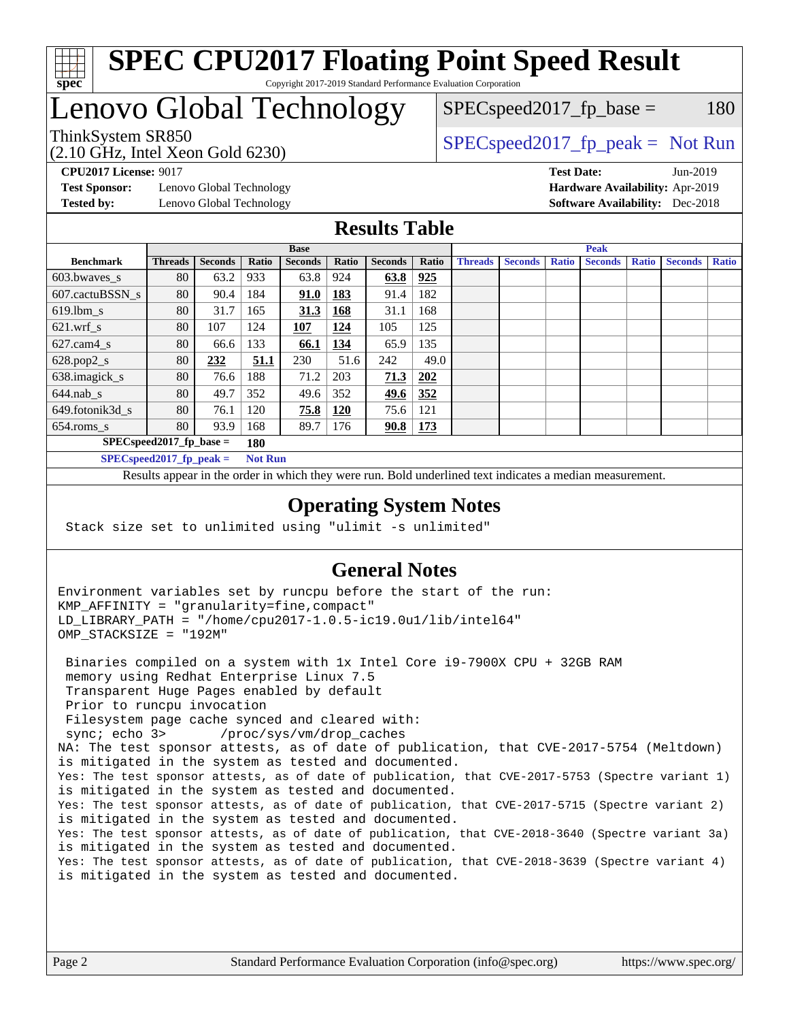

## Lenovo Global Technology

(2.10 GHz, Intel Xeon Gold 6230)

ThinkSystem SR850<br>  $SPEC speed2017$  [p\_peak = Not Run  $SPEC speed2017_fp\_base = 180$ 

**[Test Sponsor:](http://www.spec.org/auto/cpu2017/Docs/result-fields.html#TestSponsor)** Lenovo Global Technology **[Hardware Availability:](http://www.spec.org/auto/cpu2017/Docs/result-fields.html#HardwareAvailability)** Apr-2019 **[Tested by:](http://www.spec.org/auto/cpu2017/Docs/result-fields.html#Testedby)** Lenovo Global Technology **[Software Availability:](http://www.spec.org/auto/cpu2017/Docs/result-fields.html#SoftwareAvailability)** Dec-2018

**[CPU2017 License:](http://www.spec.org/auto/cpu2017/Docs/result-fields.html#CPU2017License)** 9017 **[Test Date:](http://www.spec.org/auto/cpu2017/Docs/result-fields.html#TestDate)** Jun-2019

### **[Results Table](http://www.spec.org/auto/cpu2017/Docs/result-fields.html#ResultsTable)**

|                  | <b>Base</b>                |                |                |                |              |                | <b>Peak</b> |                |                |              |                |              |                |              |
|------------------|----------------------------|----------------|----------------|----------------|--------------|----------------|-------------|----------------|----------------|--------------|----------------|--------------|----------------|--------------|
| <b>Benchmark</b> | <b>Threads</b>             | <b>Seconds</b> | Ratio          | <b>Seconds</b> | <b>Ratio</b> | <b>Seconds</b> | Ratio       | <b>Threads</b> | <b>Seconds</b> | <b>Ratio</b> | <b>Seconds</b> | <b>Ratio</b> | <b>Seconds</b> | <b>Ratio</b> |
| $603.bwaves$ s   | 80                         | 63.2           | 933            | 63.8           | 924          | 63.8           | 925         |                |                |              |                |              |                |              |
| 607.cactuBSSN s  | 80                         | 90.4           | 184            | <b>91.0</b>    | 183          | 91.4           | 182         |                |                |              |                |              |                |              |
| $619.$ lbm_s     | 80                         | 31.7           | 165            | 31.3           | 168          | 31.1           | 168         |                |                |              |                |              |                |              |
| $621.wrf$ s      | 80                         | 107            | 124            | 107            | 124          | 105            | 125         |                |                |              |                |              |                |              |
| $627$ .cam4 s    | 80                         | 66.6           | 133            | 66.1           | <u>134</u>   | 65.9           | 135         |                |                |              |                |              |                |              |
| $628.pop2_s$     | 80                         | 232            | 51.1           | 230            | 51.6         | 242            | 49.0        |                |                |              |                |              |                |              |
| 638.imagick_s    | 80                         | 76.6           | 188            | 71.2           | 203          | 71.3           | 202         |                |                |              |                |              |                |              |
| $644$ .nab s     | 80                         | 49.7           | 352            | 49.6           | 352          | <u>49.6</u>    | <u>352</u>  |                |                |              |                |              |                |              |
| 649.fotonik3d s  | 80                         | 76.1           | 120            | 75.8           | <b>120</b>   | 75.6           | 121         |                |                |              |                |              |                |              |
| $654$ .roms s    | 80                         | 93.9           | 168            | 89.7           | 176          | 90.8           | <u>173</u>  |                |                |              |                |              |                |              |
|                  | $SPEC speed2017$ fp base = |                | 180            |                |              |                |             |                |                |              |                |              |                |              |
|                  | SPECspeed 2017 fp peak $=$ |                | <b>Not Run</b> |                |              |                |             |                |                |              |                |              |                |              |

Results appear in the [order in which they were run.](http://www.spec.org/auto/cpu2017/Docs/result-fields.html#RunOrder) Bold underlined text [indicates a median measurement](http://www.spec.org/auto/cpu2017/Docs/result-fields.html#Median).

#### **[Operating System Notes](http://www.spec.org/auto/cpu2017/Docs/result-fields.html#OperatingSystemNotes)**

Stack size set to unlimited using "ulimit -s unlimited"

### **[General Notes](http://www.spec.org/auto/cpu2017/Docs/result-fields.html#GeneralNotes)**

Environment variables set by runcpu before the start of the run: KMP\_AFFINITY = "granularity=fine,compact" LD\_LIBRARY\_PATH = "/home/cpu2017-1.0.5-ic19.0u1/lib/intel64" OMP\_STACKSIZE = "192M"

 Binaries compiled on a system with 1x Intel Core i9-7900X CPU + 32GB RAM memory using Redhat Enterprise Linux 7.5 Transparent Huge Pages enabled by default Prior to runcpu invocation Filesystem page cache synced and cleared with: sync; echo 3> /proc/sys/vm/drop\_caches NA: The test sponsor attests, as of date of publication, that CVE-2017-5754 (Meltdown) is mitigated in the system as tested and documented. Yes: The test sponsor attests, as of date of publication, that CVE-2017-5753 (Spectre variant 1) is mitigated in the system as tested and documented. Yes: The test sponsor attests, as of date of publication, that CVE-2017-5715 (Spectre variant 2) is mitigated in the system as tested and documented. Yes: The test sponsor attests, as of date of publication, that CVE-2018-3640 (Spectre variant 3a) is mitigated in the system as tested and documented. Yes: The test sponsor attests, as of date of publication, that CVE-2018-3639 (Spectre variant 4) is mitigated in the system as tested and documented.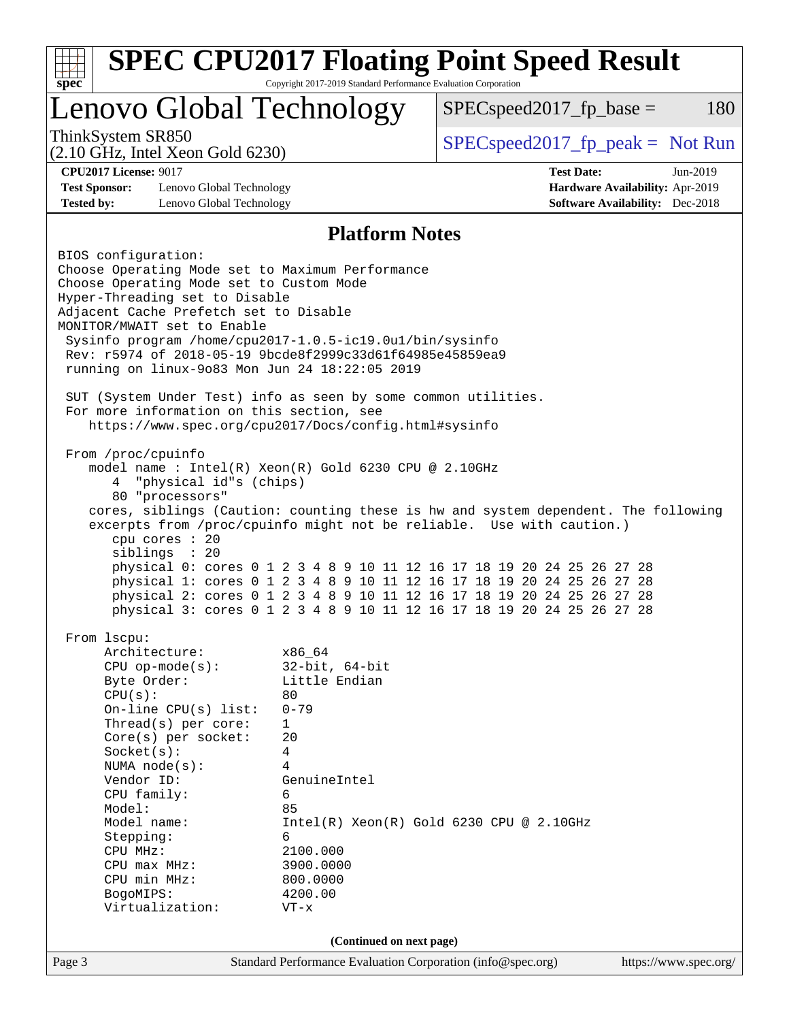|                                                                                                                                                                                                                                                                                                                                                                                                                                                                                                                                        | Lenovo Global Technology | $SPEC speed2017_fp\_base =$<br>180                                        |
|----------------------------------------------------------------------------------------------------------------------------------------------------------------------------------------------------------------------------------------------------------------------------------------------------------------------------------------------------------------------------------------------------------------------------------------------------------------------------------------------------------------------------------------|--------------------------|---------------------------------------------------------------------------|
| ThinkSystem SR850                                                                                                                                                                                                                                                                                                                                                                                                                                                                                                                      |                          | $SPEC speed2017rfp peak = Not Run$                                        |
| $(2.10 \text{ GHz}, \text{Intel Xeon Gold } 6230)$<br><b>CPU2017 License: 9017</b>                                                                                                                                                                                                                                                                                                                                                                                                                                                     |                          | <b>Test Date:</b><br>Jun-2019                                             |
| <b>Test Sponsor:</b><br>Lenovo Global Technology<br><b>Tested by:</b><br>Lenovo Global Technology                                                                                                                                                                                                                                                                                                                                                                                                                                      |                          | Hardware Availability: Apr-2019<br><b>Software Availability:</b> Dec-2018 |
|                                                                                                                                                                                                                                                                                                                                                                                                                                                                                                                                        | <b>Platform Notes</b>    |                                                                           |
| BIOS configuration:<br>Choose Operating Mode set to Maximum Performance<br>Choose Operating Mode set to Custom Mode<br>Hyper-Threading set to Disable<br>Adjacent Cache Prefetch set to Disable<br>MONITOR/MWAIT set to Enable<br>Sysinfo program /home/cpu2017-1.0.5-ic19.0ul/bin/sysinfo<br>Rev: r5974 of 2018-05-19 9bcde8f2999c33d61f64985e45859ea9<br>running on linux-9083 Mon Jun 24 18:22:05 2019                                                                                                                              |                          |                                                                           |
| SUT (System Under Test) info as seen by some common utilities.<br>For more information on this section, see<br>https://www.spec.org/cpu2017/Docs/config.html#sysinfo                                                                                                                                                                                                                                                                                                                                                                   |                          |                                                                           |
| model name: Intel(R) Xeon(R) Gold 6230 CPU @ 2.10GHz<br>"physical id"s (chips)<br>4<br>80 "processors"<br>cores, siblings (Caution: counting these is hw and system dependent. The following<br>excerpts from /proc/cpuinfo might not be reliable. Use with caution.)<br>cpu cores : 20<br>siblings : 20<br>physical 0: cores 0 1 2 3 4 8 9 10 11 12 16 17 18 19 20 24 25 26 27 28<br>physical 1: cores 0 1 2 3 4 8 9 10 11 12 16 17 18 19 20 24 25 26 27 28<br>physical 2: cores 0 1 2 3 4 8 9 10 11 12 16 17 18 19 20 24 25 26 27 28 |                          |                                                                           |
| physical 3: cores 0 1 2 3 4 8 9 10 11 12 16 17 18 19 20 24 25 26 27 28<br>From 1scpu:                                                                                                                                                                                                                                                                                                                                                                                                                                                  |                          |                                                                           |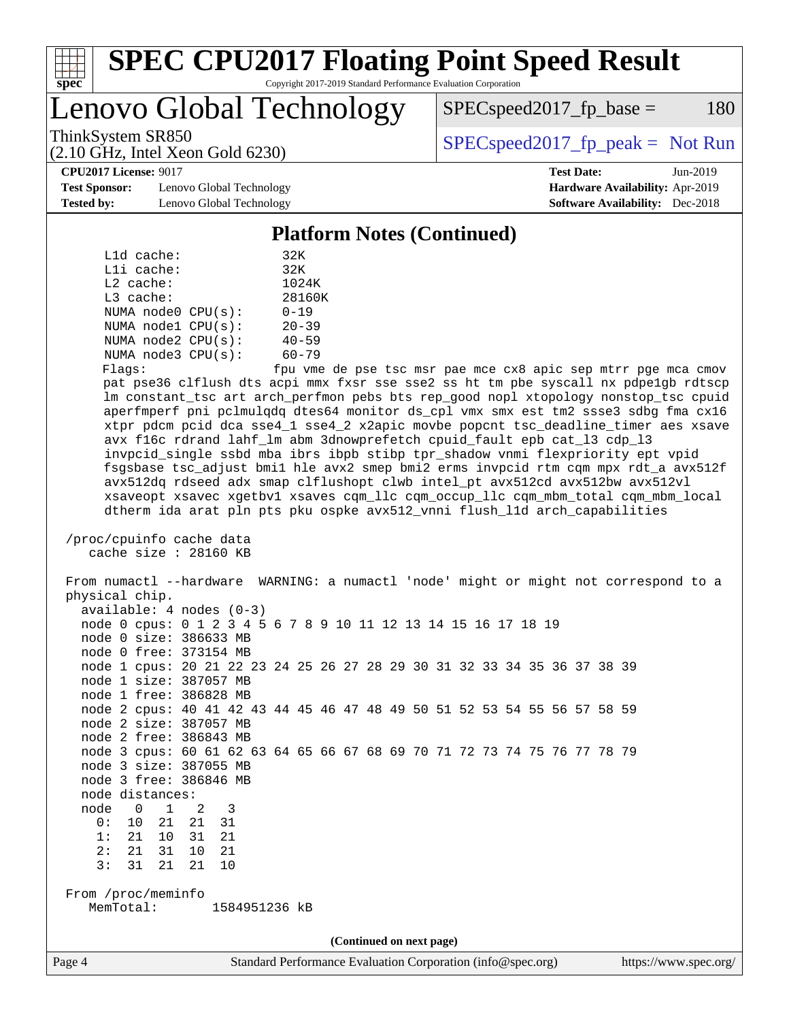

Lenovo Global Technology

 $SPEC speed2017_fp\_base = 180$ 

(2.10 GHz, Intel Xeon Gold 6230)

ThinkSystem SR850<br>  $SPEC speed2017$  [p\_peak = Not Run

**[Test Sponsor:](http://www.spec.org/auto/cpu2017/Docs/result-fields.html#TestSponsor)** Lenovo Global Technology **[Hardware Availability:](http://www.spec.org/auto/cpu2017/Docs/result-fields.html#HardwareAvailability)** Apr-2019 **[Tested by:](http://www.spec.org/auto/cpu2017/Docs/result-fields.html#Testedby)** Lenovo Global Technology **[Software Availability:](http://www.spec.org/auto/cpu2017/Docs/result-fields.html#SoftwareAvailability)** Dec-2018

**[CPU2017 License:](http://www.spec.org/auto/cpu2017/Docs/result-fields.html#CPU2017License)** 9017 **[Test Date:](http://www.spec.org/auto/cpu2017/Docs/result-fields.html#TestDate)** Jun-2019

#### **[Platform Notes \(Continued\)](http://www.spec.org/auto/cpu2017/Docs/result-fields.html#PlatformNotes)**

| $L1d$ cache:            | 32K       |
|-------------------------|-----------|
| $L1i$ cache:            | 32K       |
| $L2$ cache:             | 1024K     |
| $L3$ cache:             | 28160K    |
| NUMA node0 CPU(s):      | $0 - 19$  |
| NUMA nodel CPU(s):      | $20 - 39$ |
| NUMA $node2$ $CPU(s)$ : | $40 - 59$ |
| NUMA node3 CPU(s):      | $60 - 79$ |
| ---                     |           |

Flags: fpu vme de pse tsc msr pae mce cx8 apic sep mtrr pge mca cmov pat pse36 clflush dts acpi mmx fxsr sse sse2 ss ht tm pbe syscall nx pdpe1gb rdtscp lm constant\_tsc art arch\_perfmon pebs bts rep\_good nopl xtopology nonstop\_tsc cpuid aperfmperf pni pclmulqdq dtes64 monitor ds\_cpl vmx smx est tm2 ssse3 sdbg fma cx16 xtpr pdcm pcid dca sse4\_1 sse4\_2 x2apic movbe popcnt tsc\_deadline\_timer aes xsave avx f16c rdrand lahf\_lm abm 3dnowprefetch cpuid\_fault epb cat\_l3 cdp\_l3 invpcid\_single ssbd mba ibrs ibpb stibp tpr\_shadow vnmi flexpriority ept vpid fsgsbase tsc\_adjust bmi1 hle avx2 smep bmi2 erms invpcid rtm cqm mpx rdt\_a avx512f avx512dq rdseed adx smap clflushopt clwb intel\_pt avx512cd avx512bw avx512vl xsaveopt xsavec xgetbv1 xsaves cqm\_llc cqm\_occup\_llc cqm\_mbm\_total cqm\_mbm\_local dtherm ida arat pln pts pku ospke avx512\_vnni flush\_l1d arch\_capabilities

```
 /proc/cpuinfo cache data
cache size : 28160 KB
```
 From numactl --hardware WARNING: a numactl 'node' might or might not correspond to a physical chip. available: 4 nodes (0-3) node 0 cpus: 0 1 2 3 4 5 6 7 8 9 10 11 12 13 14 15 16 17 18 19 node 0 size: 386633 MB node 0 free: 373154 MB node 1 cpus: 20 21 22 23 24 25 26 27 28 29 30 31 32 33 34 35 36 37 38 39 node 1 size: 387057 MB node 1 free: 386828 MB node 2 cpus: 40 41 42 43 44 45 46 47 48 49 50 51 52 53 54 55 56 57 58 59 node 2 size: 387057 MB node 2 free: 386843 MB node 3 cpus: 60 61 62 63 64 65 66 67 68 69 70 71 72 73 74 75 76 77 78 79 node 3 size: 387055 MB node 3 free: 386846 MB node distances: node 0 1 2 3 0: 10 21 21 31 1: 21 10 31 21 2: 21 31 10 21 3: 31 21 21 10 From /proc/meminfo MemTotal: 1584951236 kB **(Continued on next page)**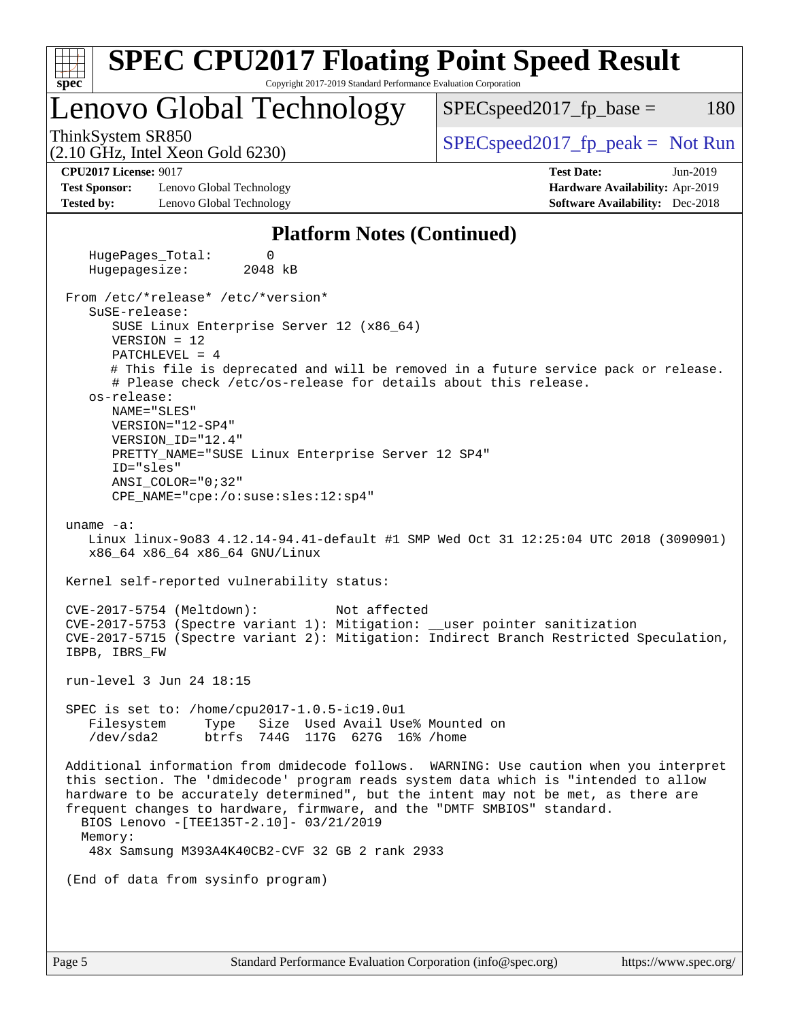| <b>SPEC CPU2017 Floating Point Speed Result</b><br>Copyright 2017-2019 Standard Performance Evaluation Corporation<br>spec <sup>®</sup>                                                                                                                                                                                                                                                                                                                                                                                                                                                                             |                                                                                                            |
|---------------------------------------------------------------------------------------------------------------------------------------------------------------------------------------------------------------------------------------------------------------------------------------------------------------------------------------------------------------------------------------------------------------------------------------------------------------------------------------------------------------------------------------------------------------------------------------------------------------------|------------------------------------------------------------------------------------------------------------|
| Lenovo Global Technology                                                                                                                                                                                                                                                                                                                                                                                                                                                                                                                                                                                            | 180<br>$SPEC speed2017_fp\_base =$                                                                         |
| ThinkSystem SR850<br>$(2.10 \text{ GHz}, \text{Intel Xeon Gold } 6230)$                                                                                                                                                                                                                                                                                                                                                                                                                                                                                                                                             | $SPEC speed2017fr peak = Not Run$                                                                          |
| <b>CPU2017 License: 9017</b><br><b>Test Sponsor:</b><br>Lenovo Global Technology<br><b>Tested by:</b><br>Lenovo Global Technology                                                                                                                                                                                                                                                                                                                                                                                                                                                                                   | <b>Test Date:</b><br>Jun-2019<br>Hardware Availability: Apr-2019<br><b>Software Availability:</b> Dec-2018 |
| <b>Platform Notes (Continued)</b>                                                                                                                                                                                                                                                                                                                                                                                                                                                                                                                                                                                   |                                                                                                            |
| HugePages_Total:<br>0<br>Hugepagesize:<br>2048 kB                                                                                                                                                                                                                                                                                                                                                                                                                                                                                                                                                                   |                                                                                                            |
| SuSE-release:<br>SUSE Linux Enterprise Server 12 (x86_64)<br>$VERSION = 12$<br>$PATCHLEVEL = 4$<br># This file is deprecated and will be removed in a future service pack or release.<br># Please check /etc/os-release for details about this release.<br>os-release:<br>NAME="SLES"<br>VERSION="12-SP4"<br>VERSION_ID="12.4"<br>PRETTY_NAME="SUSE Linux Enterprise Server 12 SP4"<br>ID="sles"<br>$ANSI$ _COLOR=" $0:32$ "<br>$CPE\_NAME = "cpe://o:suse: sles:12:sp4"$<br>uname $-a$ :<br>Linux linux-9083 4.12.14-94.41-default #1 SMP Wed Oct 31 12:25:04 UTC 2018 (3090901)<br>x86_64 x86_64 x86_64 GNU/Linux |                                                                                                            |
| Kernel self-reported vulnerability status:                                                                                                                                                                                                                                                                                                                                                                                                                                                                                                                                                                          |                                                                                                            |
| CVE-2017-5754 (Meltdown):<br>Not affected<br>CVE-2017-5753 (Spectre variant 1): Mitigation: __user pointer sanitization<br>CVE-2017-5715 (Spectre variant 2): Mitigation: Indirect Branch Restricted Speculation,<br>IBPB, IBRS FW                                                                                                                                                                                                                                                                                                                                                                                  |                                                                                                            |
| run-level 3 Jun 24 18:15                                                                                                                                                                                                                                                                                                                                                                                                                                                                                                                                                                                            |                                                                                                            |
| SPEC is set to: /home/cpu2017-1.0.5-ic19.0u1<br>Filesystem<br>Type<br>Size Used Avail Use% Mounted on<br>/dev/sda2<br>btrfs 744G 117G 627G 16% / home                                                                                                                                                                                                                                                                                                                                                                                                                                                               |                                                                                                            |
| Additional information from dmidecode follows. WARNING: Use caution when you interpret<br>this section. The 'dmidecode' program reads system data which is "intended to allow<br>hardware to be accurately determined", but the intent may not be met, as there are<br>frequent changes to hardware, firmware, and the "DMTF SMBIOS" standard.<br>BIOS Lenovo - [TEE135T-2.10]- 03/21/2019<br>Memory:<br>48x Samsung M393A4K40CB2-CVF 32 GB 2 rank 2933                                                                                                                                                             |                                                                                                            |
| (End of data from sysinfo program)                                                                                                                                                                                                                                                                                                                                                                                                                                                                                                                                                                                  |                                                                                                            |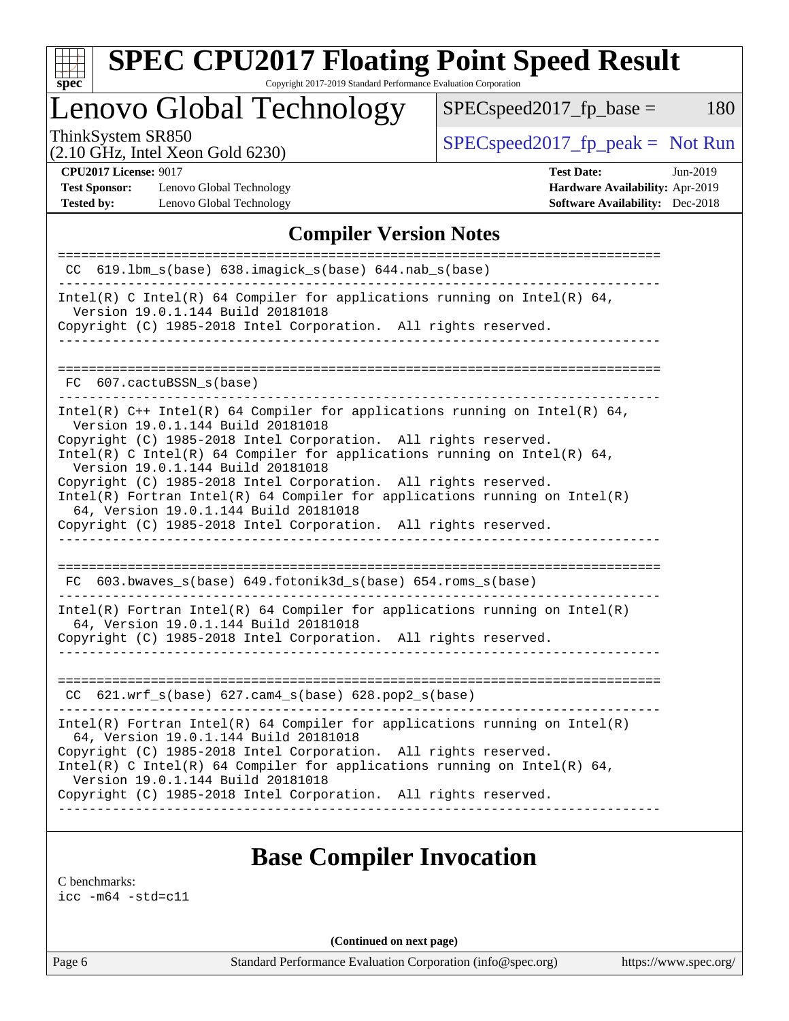| u<br>г |  |  |  |  |  |
|--------|--|--|--|--|--|

# **[SPEC CPU2017 Floating Point Speed Result](http://www.spec.org/auto/cpu2017/Docs/result-fields.html#SPECCPU2017FloatingPointSpeedResult)**

Copyright 2017-2019 Standard Performance Evaluation Corporation

Lenovo Global Technology

ThinkSystem SR850<br>  $(2.10 \text{ GHz. Intel Yoon Gold } 6230)$  [SPECspeed2017\\_fp\\_peak =](http://www.spec.org/auto/cpu2017/Docs/result-fields.html#SPECspeed2017fppeak) Not Run  $SPEC speed2017_fp\_base = 180$ 

(2.10 GHz, Intel Xeon Gold 6230)

**[Test Sponsor:](http://www.spec.org/auto/cpu2017/Docs/result-fields.html#TestSponsor)** Lenovo Global Technology **[Hardware Availability:](http://www.spec.org/auto/cpu2017/Docs/result-fields.html#HardwareAvailability)** Apr-2019 **[Tested by:](http://www.spec.org/auto/cpu2017/Docs/result-fields.html#Testedby)** Lenovo Global Technology **[Software Availability:](http://www.spec.org/auto/cpu2017/Docs/result-fields.html#SoftwareAvailability)** Dec-2018

**[CPU2017 License:](http://www.spec.org/auto/cpu2017/Docs/result-fields.html#CPU2017License)** 9017 **[Test Date:](http://www.spec.org/auto/cpu2017/Docs/result-fields.html#TestDate)** Jun-2019

### **[Compiler Version Notes](http://www.spec.org/auto/cpu2017/Docs/result-fields.html#CompilerVersionNotes)**

| CC 619.1bm_s(base) 638.imagick_s(base) 644.nab_s(base)                                                                                                                                   |
|------------------------------------------------------------------------------------------------------------------------------------------------------------------------------------------|
| Intel(R) C Intel(R) 64 Compiler for applications running on Intel(R) 64,<br>Version 19.0.1.144 Build 20181018                                                                            |
| Copyright (C) 1985-2018 Intel Corporation. All rights reserved.<br>__________________                                                                                                    |
| FC 607.cactuBSSN s(base)                                                                                                                                                                 |
| Intel(R) $C++$ Intel(R) 64 Compiler for applications running on Intel(R) 64,<br>Version 19.0.1.144 Build 20181018                                                                        |
| Copyright (C) 1985-2018 Intel Corporation. All rights reserved.<br>Intel(R) C Intel(R) 64 Compiler for applications running on Intel(R) 64,<br>Version 19.0.1.144 Build 20181018         |
| Copyright (C) 1985-2018 Intel Corporation. All rights reserved.<br>$Intel(R)$ Fortran Intel(R) 64 Compiler for applications running on Intel(R)<br>64, Version 19.0.1.144 Build 20181018 |
| Copyright (C) 1985-2018 Intel Corporation. All rights reserved.                                                                                                                          |
| FC 603.bwaves_s(base) 649.fotonik3d_s(base) 654.roms_s(base)                                                                                                                             |
| $Intel(R)$ Fortran Intel(R) 64 Compiler for applications running on Intel(R)<br>64, Version 19.0.1.144 Build 20181018                                                                    |
| Copyright (C) 1985-2018 Intel Corporation. All rights reserved.<br>_____________________________                                                                                         |
| CC 621.wrf_s(base) 627.cam4_s(base) 628.pop2_s(base)                                                                                                                                     |
| $Intel(R)$ Fortran Intel(R) 64 Compiler for applications running on Intel(R)<br>64, Version 19.0.1.144 Build 20181018                                                                    |
| Copyright (C) 1985-2018 Intel Corporation. All rights reserved.<br>Intel(R) C Intel(R) 64 Compiler for applications running on Intel(R) 64,<br>Version 19.0.1.144 Build 20181018         |
| Copyright (C) 1985-2018 Intel Corporation. All rights reserved.                                                                                                                          |

## **[Base Compiler Invocation](http://www.spec.org/auto/cpu2017/Docs/result-fields.html#BaseCompilerInvocation)**

[C benchmarks](http://www.spec.org/auto/cpu2017/Docs/result-fields.html#Cbenchmarks):

[icc -m64 -std=c11](http://www.spec.org/cpu2017/results/res2019q3/cpu2017-20190708-16007.flags.html#user_CCbase_intel_icc_64bit_c11_33ee0cdaae7deeeab2a9725423ba97205ce30f63b9926c2519791662299b76a0318f32ddfffdc46587804de3178b4f9328c46fa7c2b0cd779d7a61945c91cd35)

**(Continued on next page)**

Page 6 Standard Performance Evaluation Corporation [\(info@spec.org\)](mailto:info@spec.org) <https://www.spec.org/>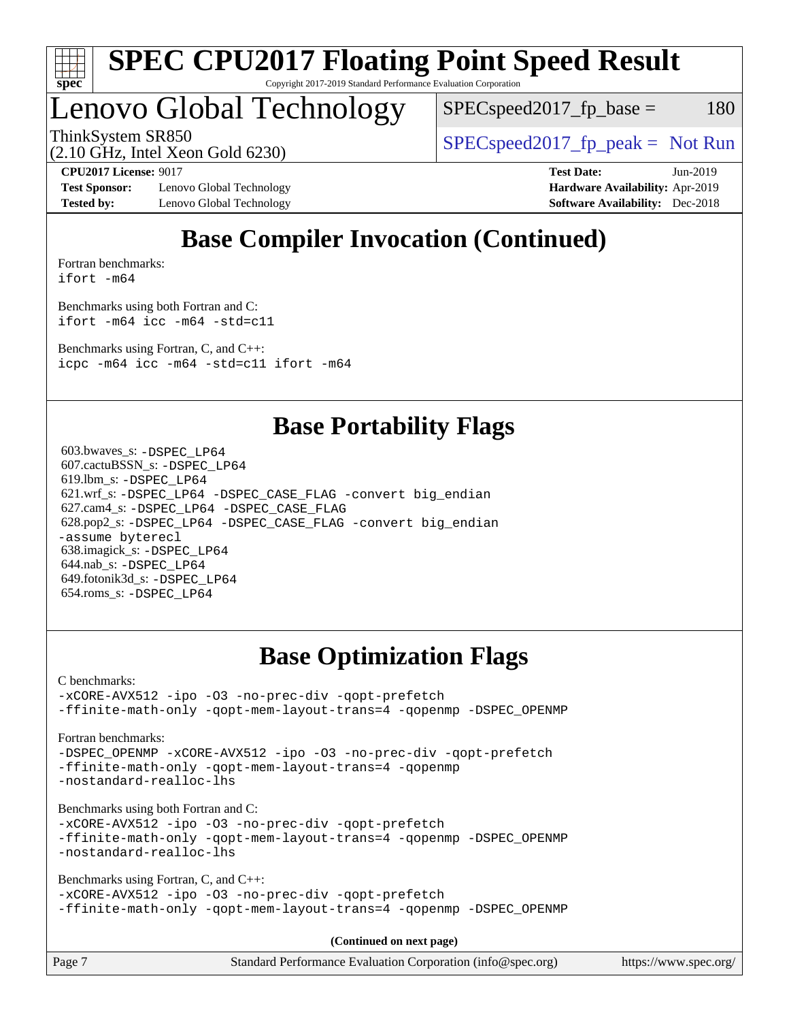

Lenovo Global Technology

 $SPEC speed2017_fp\_base = 180$ 

ThinkSystem SR850<br>  $SPEC speed2017<sub>rfp</sub> peak = Not Run$ 

(2.10 GHz, Intel Xeon Gold 6230)

**[Test Sponsor:](http://www.spec.org/auto/cpu2017/Docs/result-fields.html#TestSponsor)** Lenovo Global Technology **[Hardware Availability:](http://www.spec.org/auto/cpu2017/Docs/result-fields.html#HardwareAvailability)** Apr-2019 **[Tested by:](http://www.spec.org/auto/cpu2017/Docs/result-fields.html#Testedby)** Lenovo Global Technology **[Software Availability:](http://www.spec.org/auto/cpu2017/Docs/result-fields.html#SoftwareAvailability)** Dec-2018

**[CPU2017 License:](http://www.spec.org/auto/cpu2017/Docs/result-fields.html#CPU2017License)** 9017 **[Test Date:](http://www.spec.org/auto/cpu2017/Docs/result-fields.html#TestDate)** Jun-2019

## **[Base Compiler Invocation \(Continued\)](http://www.spec.org/auto/cpu2017/Docs/result-fields.html#BaseCompilerInvocation)**

[Fortran benchmarks](http://www.spec.org/auto/cpu2017/Docs/result-fields.html#Fortranbenchmarks): [ifort -m64](http://www.spec.org/cpu2017/results/res2019q3/cpu2017-20190708-16007.flags.html#user_FCbase_intel_ifort_64bit_24f2bb282fbaeffd6157abe4f878425411749daecae9a33200eee2bee2fe76f3b89351d69a8130dd5949958ce389cf37ff59a95e7a40d588e8d3a57e0c3fd751)

[Benchmarks using both Fortran and C](http://www.spec.org/auto/cpu2017/Docs/result-fields.html#BenchmarksusingbothFortranandC): [ifort -m64](http://www.spec.org/cpu2017/results/res2019q3/cpu2017-20190708-16007.flags.html#user_CC_FCbase_intel_ifort_64bit_24f2bb282fbaeffd6157abe4f878425411749daecae9a33200eee2bee2fe76f3b89351d69a8130dd5949958ce389cf37ff59a95e7a40d588e8d3a57e0c3fd751) [icc -m64 -std=c11](http://www.spec.org/cpu2017/results/res2019q3/cpu2017-20190708-16007.flags.html#user_CC_FCbase_intel_icc_64bit_c11_33ee0cdaae7deeeab2a9725423ba97205ce30f63b9926c2519791662299b76a0318f32ddfffdc46587804de3178b4f9328c46fa7c2b0cd779d7a61945c91cd35)

[Benchmarks using Fortran, C, and C++:](http://www.spec.org/auto/cpu2017/Docs/result-fields.html#BenchmarksusingFortranCandCXX) [icpc -m64](http://www.spec.org/cpu2017/results/res2019q3/cpu2017-20190708-16007.flags.html#user_CC_CXX_FCbase_intel_icpc_64bit_4ecb2543ae3f1412ef961e0650ca070fec7b7afdcd6ed48761b84423119d1bf6bdf5cad15b44d48e7256388bc77273b966e5eb805aefd121eb22e9299b2ec9d9) [icc -m64 -std=c11](http://www.spec.org/cpu2017/results/res2019q3/cpu2017-20190708-16007.flags.html#user_CC_CXX_FCbase_intel_icc_64bit_c11_33ee0cdaae7deeeab2a9725423ba97205ce30f63b9926c2519791662299b76a0318f32ddfffdc46587804de3178b4f9328c46fa7c2b0cd779d7a61945c91cd35) [ifort -m64](http://www.spec.org/cpu2017/results/res2019q3/cpu2017-20190708-16007.flags.html#user_CC_CXX_FCbase_intel_ifort_64bit_24f2bb282fbaeffd6157abe4f878425411749daecae9a33200eee2bee2fe76f3b89351d69a8130dd5949958ce389cf37ff59a95e7a40d588e8d3a57e0c3fd751)

## **[Base Portability Flags](http://www.spec.org/auto/cpu2017/Docs/result-fields.html#BasePortabilityFlags)**

 603.bwaves\_s: [-DSPEC\\_LP64](http://www.spec.org/cpu2017/results/res2019q3/cpu2017-20190708-16007.flags.html#suite_basePORTABILITY603_bwaves_s_DSPEC_LP64) 607.cactuBSSN\_s: [-DSPEC\\_LP64](http://www.spec.org/cpu2017/results/res2019q3/cpu2017-20190708-16007.flags.html#suite_basePORTABILITY607_cactuBSSN_s_DSPEC_LP64) 619.lbm\_s: [-DSPEC\\_LP64](http://www.spec.org/cpu2017/results/res2019q3/cpu2017-20190708-16007.flags.html#suite_basePORTABILITY619_lbm_s_DSPEC_LP64) 621.wrf\_s: [-DSPEC\\_LP64](http://www.spec.org/cpu2017/results/res2019q3/cpu2017-20190708-16007.flags.html#suite_basePORTABILITY621_wrf_s_DSPEC_LP64) [-DSPEC\\_CASE\\_FLAG](http://www.spec.org/cpu2017/results/res2019q3/cpu2017-20190708-16007.flags.html#b621.wrf_s_baseCPORTABILITY_DSPEC_CASE_FLAG) [-convert big\\_endian](http://www.spec.org/cpu2017/results/res2019q3/cpu2017-20190708-16007.flags.html#user_baseFPORTABILITY621_wrf_s_convert_big_endian_c3194028bc08c63ac5d04de18c48ce6d347e4e562e8892b8bdbdc0214820426deb8554edfa529a3fb25a586e65a3d812c835984020483e7e73212c4d31a38223) 627.cam4\_s: [-DSPEC\\_LP64](http://www.spec.org/cpu2017/results/res2019q3/cpu2017-20190708-16007.flags.html#suite_basePORTABILITY627_cam4_s_DSPEC_LP64) [-DSPEC\\_CASE\\_FLAG](http://www.spec.org/cpu2017/results/res2019q3/cpu2017-20190708-16007.flags.html#b627.cam4_s_baseCPORTABILITY_DSPEC_CASE_FLAG) 628.pop2\_s: [-DSPEC\\_LP64](http://www.spec.org/cpu2017/results/res2019q3/cpu2017-20190708-16007.flags.html#suite_basePORTABILITY628_pop2_s_DSPEC_LP64) [-DSPEC\\_CASE\\_FLAG](http://www.spec.org/cpu2017/results/res2019q3/cpu2017-20190708-16007.flags.html#b628.pop2_s_baseCPORTABILITY_DSPEC_CASE_FLAG) [-convert big\\_endian](http://www.spec.org/cpu2017/results/res2019q3/cpu2017-20190708-16007.flags.html#user_baseFPORTABILITY628_pop2_s_convert_big_endian_c3194028bc08c63ac5d04de18c48ce6d347e4e562e8892b8bdbdc0214820426deb8554edfa529a3fb25a586e65a3d812c835984020483e7e73212c4d31a38223) [-assume byterecl](http://www.spec.org/cpu2017/results/res2019q3/cpu2017-20190708-16007.flags.html#user_baseFPORTABILITY628_pop2_s_assume_byterecl_7e47d18b9513cf18525430bbf0f2177aa9bf368bc7a059c09b2c06a34b53bd3447c950d3f8d6c70e3faf3a05c8557d66a5798b567902e8849adc142926523472) 638.imagick\_s: [-DSPEC\\_LP64](http://www.spec.org/cpu2017/results/res2019q3/cpu2017-20190708-16007.flags.html#suite_basePORTABILITY638_imagick_s_DSPEC_LP64) 644.nab\_s: [-DSPEC\\_LP64](http://www.spec.org/cpu2017/results/res2019q3/cpu2017-20190708-16007.flags.html#suite_basePORTABILITY644_nab_s_DSPEC_LP64) 649.fotonik3d\_s: [-DSPEC\\_LP64](http://www.spec.org/cpu2017/results/res2019q3/cpu2017-20190708-16007.flags.html#suite_basePORTABILITY649_fotonik3d_s_DSPEC_LP64) 654.roms\_s: [-DSPEC\\_LP64](http://www.spec.org/cpu2017/results/res2019q3/cpu2017-20190708-16007.flags.html#suite_basePORTABILITY654_roms_s_DSPEC_LP64)

## **[Base Optimization Flags](http://www.spec.org/auto/cpu2017/Docs/result-fields.html#BaseOptimizationFlags)**

[C benchmarks](http://www.spec.org/auto/cpu2017/Docs/result-fields.html#Cbenchmarks):

[-xCORE-AVX512](http://www.spec.org/cpu2017/results/res2019q3/cpu2017-20190708-16007.flags.html#user_CCbase_f-xCORE-AVX512) [-ipo](http://www.spec.org/cpu2017/results/res2019q3/cpu2017-20190708-16007.flags.html#user_CCbase_f-ipo) [-O3](http://www.spec.org/cpu2017/results/res2019q3/cpu2017-20190708-16007.flags.html#user_CCbase_f-O3) [-no-prec-div](http://www.spec.org/cpu2017/results/res2019q3/cpu2017-20190708-16007.flags.html#user_CCbase_f-no-prec-div) [-qopt-prefetch](http://www.spec.org/cpu2017/results/res2019q3/cpu2017-20190708-16007.flags.html#user_CCbase_f-qopt-prefetch) [-ffinite-math-only](http://www.spec.org/cpu2017/results/res2019q3/cpu2017-20190708-16007.flags.html#user_CCbase_f_finite_math_only_cb91587bd2077682c4b38af759c288ed7c732db004271a9512da14a4f8007909a5f1427ecbf1a0fb78ff2a814402c6114ac565ca162485bbcae155b5e4258871) [-qopt-mem-layout-trans=4](http://www.spec.org/cpu2017/results/res2019q3/cpu2017-20190708-16007.flags.html#user_CCbase_f-qopt-mem-layout-trans_fa39e755916c150a61361b7846f310bcdf6f04e385ef281cadf3647acec3f0ae266d1a1d22d972a7087a248fd4e6ca390a3634700869573d231a252c784941a8) [-qopenmp](http://www.spec.org/cpu2017/results/res2019q3/cpu2017-20190708-16007.flags.html#user_CCbase_qopenmp_16be0c44f24f464004c6784a7acb94aca937f053568ce72f94b139a11c7c168634a55f6653758ddd83bcf7b8463e8028bb0b48b77bcddc6b78d5d95bb1df2967) [-DSPEC\\_OPENMP](http://www.spec.org/cpu2017/results/res2019q3/cpu2017-20190708-16007.flags.html#suite_CCbase_DSPEC_OPENMP)

[Fortran benchmarks](http://www.spec.org/auto/cpu2017/Docs/result-fields.html#Fortranbenchmarks):

[-DSPEC\\_OPENMP](http://www.spec.org/cpu2017/results/res2019q3/cpu2017-20190708-16007.flags.html#suite_FCbase_DSPEC_OPENMP) [-xCORE-AVX512](http://www.spec.org/cpu2017/results/res2019q3/cpu2017-20190708-16007.flags.html#user_FCbase_f-xCORE-AVX512) [-ipo](http://www.spec.org/cpu2017/results/res2019q3/cpu2017-20190708-16007.flags.html#user_FCbase_f-ipo) [-O3](http://www.spec.org/cpu2017/results/res2019q3/cpu2017-20190708-16007.flags.html#user_FCbase_f-O3) [-no-prec-div](http://www.spec.org/cpu2017/results/res2019q3/cpu2017-20190708-16007.flags.html#user_FCbase_f-no-prec-div) [-qopt-prefetch](http://www.spec.org/cpu2017/results/res2019q3/cpu2017-20190708-16007.flags.html#user_FCbase_f-qopt-prefetch) [-ffinite-math-only](http://www.spec.org/cpu2017/results/res2019q3/cpu2017-20190708-16007.flags.html#user_FCbase_f_finite_math_only_cb91587bd2077682c4b38af759c288ed7c732db004271a9512da14a4f8007909a5f1427ecbf1a0fb78ff2a814402c6114ac565ca162485bbcae155b5e4258871) [-qopt-mem-layout-trans=4](http://www.spec.org/cpu2017/results/res2019q3/cpu2017-20190708-16007.flags.html#user_FCbase_f-qopt-mem-layout-trans_fa39e755916c150a61361b7846f310bcdf6f04e385ef281cadf3647acec3f0ae266d1a1d22d972a7087a248fd4e6ca390a3634700869573d231a252c784941a8) [-qopenmp](http://www.spec.org/cpu2017/results/res2019q3/cpu2017-20190708-16007.flags.html#user_FCbase_qopenmp_16be0c44f24f464004c6784a7acb94aca937f053568ce72f94b139a11c7c168634a55f6653758ddd83bcf7b8463e8028bb0b48b77bcddc6b78d5d95bb1df2967) [-nostandard-realloc-lhs](http://www.spec.org/cpu2017/results/res2019q3/cpu2017-20190708-16007.flags.html#user_FCbase_f_2003_std_realloc_82b4557e90729c0f113870c07e44d33d6f5a304b4f63d4c15d2d0f1fab99f5daaed73bdb9275d9ae411527f28b936061aa8b9c8f2d63842963b95c9dd6426b8a)

[Benchmarks using both Fortran and C](http://www.spec.org/auto/cpu2017/Docs/result-fields.html#BenchmarksusingbothFortranandC):

[-xCORE-AVX512](http://www.spec.org/cpu2017/results/res2019q3/cpu2017-20190708-16007.flags.html#user_CC_FCbase_f-xCORE-AVX512) [-ipo](http://www.spec.org/cpu2017/results/res2019q3/cpu2017-20190708-16007.flags.html#user_CC_FCbase_f-ipo) [-O3](http://www.spec.org/cpu2017/results/res2019q3/cpu2017-20190708-16007.flags.html#user_CC_FCbase_f-O3) [-no-prec-div](http://www.spec.org/cpu2017/results/res2019q3/cpu2017-20190708-16007.flags.html#user_CC_FCbase_f-no-prec-div) [-qopt-prefetch](http://www.spec.org/cpu2017/results/res2019q3/cpu2017-20190708-16007.flags.html#user_CC_FCbase_f-qopt-prefetch) [-ffinite-math-only](http://www.spec.org/cpu2017/results/res2019q3/cpu2017-20190708-16007.flags.html#user_CC_FCbase_f_finite_math_only_cb91587bd2077682c4b38af759c288ed7c732db004271a9512da14a4f8007909a5f1427ecbf1a0fb78ff2a814402c6114ac565ca162485bbcae155b5e4258871) [-qopt-mem-layout-trans=4](http://www.spec.org/cpu2017/results/res2019q3/cpu2017-20190708-16007.flags.html#user_CC_FCbase_f-qopt-mem-layout-trans_fa39e755916c150a61361b7846f310bcdf6f04e385ef281cadf3647acec3f0ae266d1a1d22d972a7087a248fd4e6ca390a3634700869573d231a252c784941a8) [-qopenmp](http://www.spec.org/cpu2017/results/res2019q3/cpu2017-20190708-16007.flags.html#user_CC_FCbase_qopenmp_16be0c44f24f464004c6784a7acb94aca937f053568ce72f94b139a11c7c168634a55f6653758ddd83bcf7b8463e8028bb0b48b77bcddc6b78d5d95bb1df2967) [-DSPEC\\_OPENMP](http://www.spec.org/cpu2017/results/res2019q3/cpu2017-20190708-16007.flags.html#suite_CC_FCbase_DSPEC_OPENMP) [-nostandard-realloc-lhs](http://www.spec.org/cpu2017/results/res2019q3/cpu2017-20190708-16007.flags.html#user_CC_FCbase_f_2003_std_realloc_82b4557e90729c0f113870c07e44d33d6f5a304b4f63d4c15d2d0f1fab99f5daaed73bdb9275d9ae411527f28b936061aa8b9c8f2d63842963b95c9dd6426b8a)

[Benchmarks using Fortran, C, and C++:](http://www.spec.org/auto/cpu2017/Docs/result-fields.html#BenchmarksusingFortranCandCXX)

[-xCORE-AVX512](http://www.spec.org/cpu2017/results/res2019q3/cpu2017-20190708-16007.flags.html#user_CC_CXX_FCbase_f-xCORE-AVX512) [-ipo](http://www.spec.org/cpu2017/results/res2019q3/cpu2017-20190708-16007.flags.html#user_CC_CXX_FCbase_f-ipo) [-O3](http://www.spec.org/cpu2017/results/res2019q3/cpu2017-20190708-16007.flags.html#user_CC_CXX_FCbase_f-O3) [-no-prec-div](http://www.spec.org/cpu2017/results/res2019q3/cpu2017-20190708-16007.flags.html#user_CC_CXX_FCbase_f-no-prec-div) [-qopt-prefetch](http://www.spec.org/cpu2017/results/res2019q3/cpu2017-20190708-16007.flags.html#user_CC_CXX_FCbase_f-qopt-prefetch) [-ffinite-math-only](http://www.spec.org/cpu2017/results/res2019q3/cpu2017-20190708-16007.flags.html#user_CC_CXX_FCbase_f_finite_math_only_cb91587bd2077682c4b38af759c288ed7c732db004271a9512da14a4f8007909a5f1427ecbf1a0fb78ff2a814402c6114ac565ca162485bbcae155b5e4258871) [-qopt-mem-layout-trans=4](http://www.spec.org/cpu2017/results/res2019q3/cpu2017-20190708-16007.flags.html#user_CC_CXX_FCbase_f-qopt-mem-layout-trans_fa39e755916c150a61361b7846f310bcdf6f04e385ef281cadf3647acec3f0ae266d1a1d22d972a7087a248fd4e6ca390a3634700869573d231a252c784941a8) [-qopenmp](http://www.spec.org/cpu2017/results/res2019q3/cpu2017-20190708-16007.flags.html#user_CC_CXX_FCbase_qopenmp_16be0c44f24f464004c6784a7acb94aca937f053568ce72f94b139a11c7c168634a55f6653758ddd83bcf7b8463e8028bb0b48b77bcddc6b78d5d95bb1df2967) [-DSPEC\\_OPENMP](http://www.spec.org/cpu2017/results/res2019q3/cpu2017-20190708-16007.flags.html#suite_CC_CXX_FCbase_DSPEC_OPENMP)

**(Continued on next page)**

| Page 7 | Standard Performance Evaluation Corporation (info@spec.org) | https://www.spec.org/ |
|--------|-------------------------------------------------------------|-----------------------|
|        |                                                             |                       |